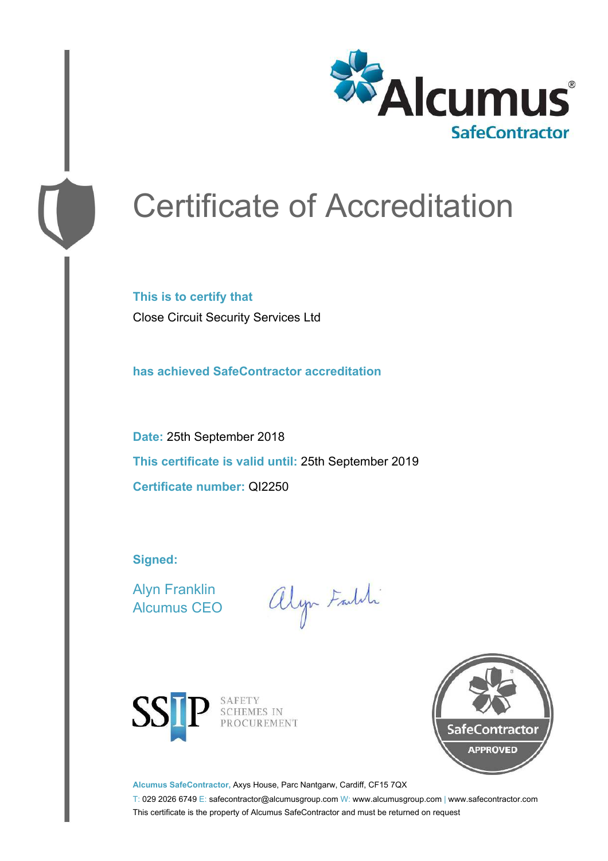

# Certificate of Accreditation

**This is to certify that** Close Circuit Security Services Ltd

**has achieved SafeContractor accreditation**

**Date:** 25th September 2018 **This certificate is valid until:** 25th September 2019 **Certificate number:** QI2250

**Signed:**

Alyn Franklin Alcumus CEO

alyn Faith



SAFETY<br>SCHEMES IN PROCUREMENT



**Alcumus SafeContractor,** Axys House, Parc Nantgarw, Cardiff, CF15 7QX

T: 029 2026 6749 E: safecontractor@alcumusgroup.com W: www.alcumusgroup.com | www.safecontractor.com This certificate is the property of Alcumus SafeContractor and must be returned on request